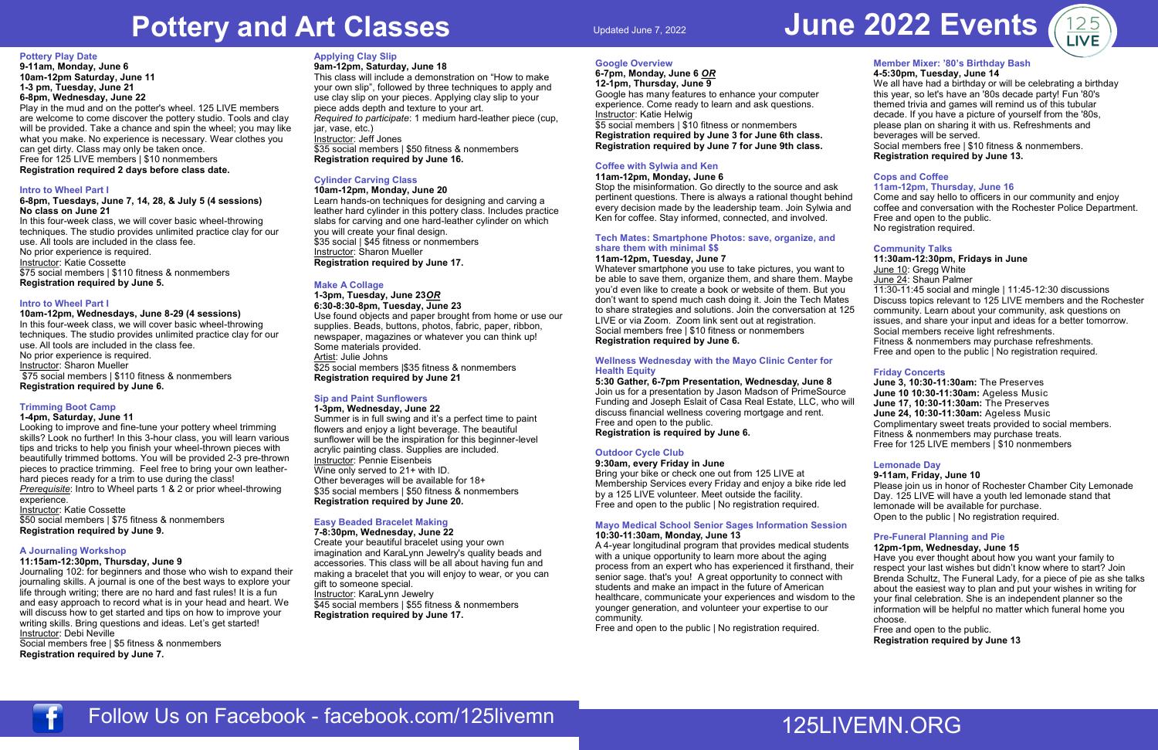# **Pottery and Art Classes**

#### **Pottery Play Date**

**9-11am, Monday, June 6 10am-12pm Saturday, June 11 1-3 pm, Tuesday, June 21 6-8pm, Wednesday, June 22**  Play in the mud and on the potter's wheel. 125 LIVE members

are welcome to come discover the pottery studio. Tools and clay will be provided. Take a chance and spin the wheel; you may like what you make. No experience is necessary. Wear clothes you can get dirty. Class may only be taken once. Free for 125 LIVE members | \$10 nonmembers **Registration required 2 days before class date.**

#### **Intro to Wheel Part I**

#### **6-8pm, Tuesdays, June 7, 14, 28, & July 5 (4 sessions) No class on June 21**

In this four-week class, we will cover basic wheel-throwing techniques. The studio provides unlimited practice clay for our use. All tools are included in the class fee. No prior experience is required. Instructor: Katie Cossette \$75 social members | \$110 fitness & nonmembers **Registration required by June 5.**

#### **Intro to Wheel Part I**

**10am-12pm, Wednesdays, June 8-29 (4 sessions)** In this four-week class, we will cover basic wheel-throwing techniques. The studio provides unlimited practice clay for our use. All tools are included in the class fee. No prior experience is required. Instructor: Sharon Mueller \$75 social members | \$110 fitness & nonmembers **Registration required by June 6.**

# **Trimming Boot Camp**

# **1-4pm, Saturday, June 11**

Looking to improve and fine-tune your pottery wheel trimming skills? Look no further! In this 3-hour class, you will learn various tips and tricks to help you finish your wheel-thrown pieces with beautifully trimmed bottoms. You will be provided 2-3 pre-thrown pieces to practice trimming. Feel free to bring your own leatherhard pieces ready for a trim to use during the class! *Prerequisite*: Intro to Wheel parts 1 & 2 or prior wheel-throwing experience.

Instructor: Katie Cossette \$50 social members | \$75 fitness & nonmembers

**Registration required by June 9.**

#### **A Journaling Workshop**

#### **11:15am-12:30pm, Thursday, June 9**

Journaling 102: for beginners and those who wish to expand their journaling skills. A journal is one of the best ways to explore your life through writing; there are no hard and fast rules! It is a fun and easy approach to record what is in your head and heart. We will discuss how to get started and tips on how to improve your writing skills. Bring questions and ideas. Let's get started! Instructor: Debi Neville

Social members free | \$5 fitness & nonmembers **Registration required by June 7.**

#### **Applying Clay Slip**

**9am-12pm, Saturday, June 18**  This class will include a demonstration on "How to make your own slip", followed by three techniques to apply and use clay slip on your pieces. Applying clay slip to your piece adds depth and texture to your art. *Required to participate*: 1 medium hard-leather piece (cup, jar, vase, etc.) Instructor: Jeff Jones \$35 social members | \$50 fitness & nonmembers **Registration required by June 16.**

# **Cylinder Carving Class**

#### **10am-12pm, Monday, June 20** Learn hands-on techniques for designing and carving a leather hard cylinder in this pottery class. Includes practice slabs for carving and one hard-leather cylinder on which you will create your final design. \$35 social | \$45 fitness or nonmembers Instructor: Sharon Mueller **Registration required by June 17.**

# **Make A Collage**

# **1-3pm, Tuesday, June 23***OR*

**6:30-8:30-8pm, Tuesday, June 23** Use found objects and paper brought from home or use our supplies. Beads, buttons, photos, fabric, paper, ribbon, newspaper, magazines or whatever you can think up! Some materials provided. Artist: Julie Johns \$25 social members |\$35 fitness & nonmembers **Registration required by June 21**

# **Sip and Paint Sunflowers**

#### **1-3pm, Wednesday, June 22** Summer is in full swing and it's a perfect time to paint flowers and enjoy a light beverage. The beautiful sunflower will be the inspiration for this beginner-level acrylic painting class. Supplies are included. Instructor: Pennie Eisenbeis Wine only served to 21+ with ID. Other beverages will be available for 18+ \$35 social members | \$50 fitness & nonmembers **Registration required by June 20.**

# **Easy Beaded Bracelet Making**

#### **7-8:30pm, Wednesday, June 22**

Create your beautiful bracelet using your own imagination and KaraLynn Jewelry's quality beads and accessories. This class will be all about having fun and making a bracelet that you will enjoy to wear, or you can gift to someone special.

Instructor: KaraLynn Jewelry \$45 social members | \$55 fitness & nonmembers **Registration required by June 17.**



**Google Overview**

**6-7pm, Monday, June 6** *OR* **12-1pm, Thursday, June 9**

Google has many features to enhance your computer experience. Come ready to learn and ask questions.

Instructor: Katie Helwig

#### \$5 social members | \$10 fitness or nonmembers **Registration required by June 3 for June 6th class.**

**Registration required by June 7 for June 9th class. Coffee with Sylwia and Ken**

# **11am-12pm, Monday, June 6**

Stop the misinformation. Go directly to the source and ask pertinent questions. There is always a rational thought behind every decision made by the leadership team. Join Sylwia and Ken for coffee. Stay informed, connected, and involved.

## **Tech Mates: Smartphone Photos: save, organize, and share them with minimal \$\$**

#### **11am-12pm, Tuesday, June 7**

Whatever smartphone you use to take pictures, you want to be able to save them, organize them, and share them. Maybe you'd even like to create a book or website of them. But you don't want to spend much cash doing it. Join the Tech Mates to share strategies and solutions. Join the conversation at 125 LIVE or via Zoom. Zoom link sent out at registration. Social members free | \$10 fitness or nonmembers **Registration required by June 6.**

#### **Wellness Wednesday with the Mayo Clinic Center for Health Equity**

**5:30 Gather, 6-7pm Presentation, Wednesday, June 8** Join us for a presentation by Jason Madson of PrimeSource Funding and Joseph Eslait of Casa Real Estate, LLC, who will discuss financial wellness covering mortgage and rent. Free and open to the public.

**Registration is required by June 6.**

# **Outdoor Cycle Club**

# **9:30am, every Friday in June**

Bring your bike or check one out from 125 LIVE at Membership Services every Friday and enjoy a bike ride led by a 125 LIVE volunteer. Meet outside the facility. Free and open to the public | No registration required.

#### **Mayo Medical School Senior Sages Information Session 10:30-11:30am, Monday, June 13**

A 4-year longitudinal program that provides medical students with a unique opportunity to learn more about the aging process from an expert who has experienced it firsthand, their senior sage. that's you! A great opportunity to connect with students and make an impact in the future of American healthcare, communicate your experiences and wisdom to the younger generation, and volunteer your expertise to our community.

Free and open to the public | No registration required.

#### **Member Mixer: '80's Birthday Bash 4-5:30pm, Tuesday, June 14**

We all have had a birthday or will be celebrating a birthday this year, so let's have an '80s decade party! Fun '80's themed trivia and games will remind us of this tubular decade. If you have a picture of yourself from the '80s, please plan on sharing it with us. Refreshments and beverages will be served.

Social members free | \$10 fitness & nonmembers. **Registration required by June 13.**

# **Cops and Coffee 11am-12pm, Thursday, June 16**

Come and say hello to officers in our community and enjoy coffee and conversation with the Rochester Police Department. Free and open to the public. No registration required.

#### **Community Talks**

# **11:30am-12:30pm, Fridays in June**

- June 10: Gregg White June 24: Shaun Palmer
- 11:30-11:45 social and mingle | 11:45-12:30 discussions Discuss topics relevant to 125 LIVE members and the Rochester community. Learn about your community, ask questions on issues, and share your input and ideas for a better tomorrow. Social members receive light refreshments. Fitness & nonmembers may purchase refreshments. Free and open to the public | No registration required.

## **Friday Concerts**

**June 3, 10:30-11:30am:** The Preserves **June 10 10:30-11:30am:** Ageless Music **June 17, 10:30-11:30am:** The Preserves **June 24, 10:30-11:30am:** Ageless Music Complimentary sweet treats provided to social members. Fitness & nonmembers may purchase treats. Free for 125 LIVE members | \$10 nonmembers

#### **Lemonade Day**

#### **9-11am, Friday, June 10**

Please join us in honor of Rochester Chamber City Lemonade Day. 125 LIVE will have a youth led lemonade stand that lemonade will be available for purchase. Open to the public | No registration required.

# **Pre-Funeral Planning and Pie**

# **12pm-1pm, Wednesday, June 15**

Have you ever thought about how you want your family to respect your last wishes but didn't know where to start? Join Brenda Schultz, The Funeral Lady, for a piece of pie as she talks about the easiest way to plan and put your wishes in writing for your final celebration. She is an independent planner so the information will be helpful no matter which funeral home you choose.

Free and open to the public. **Registration required by June 13**